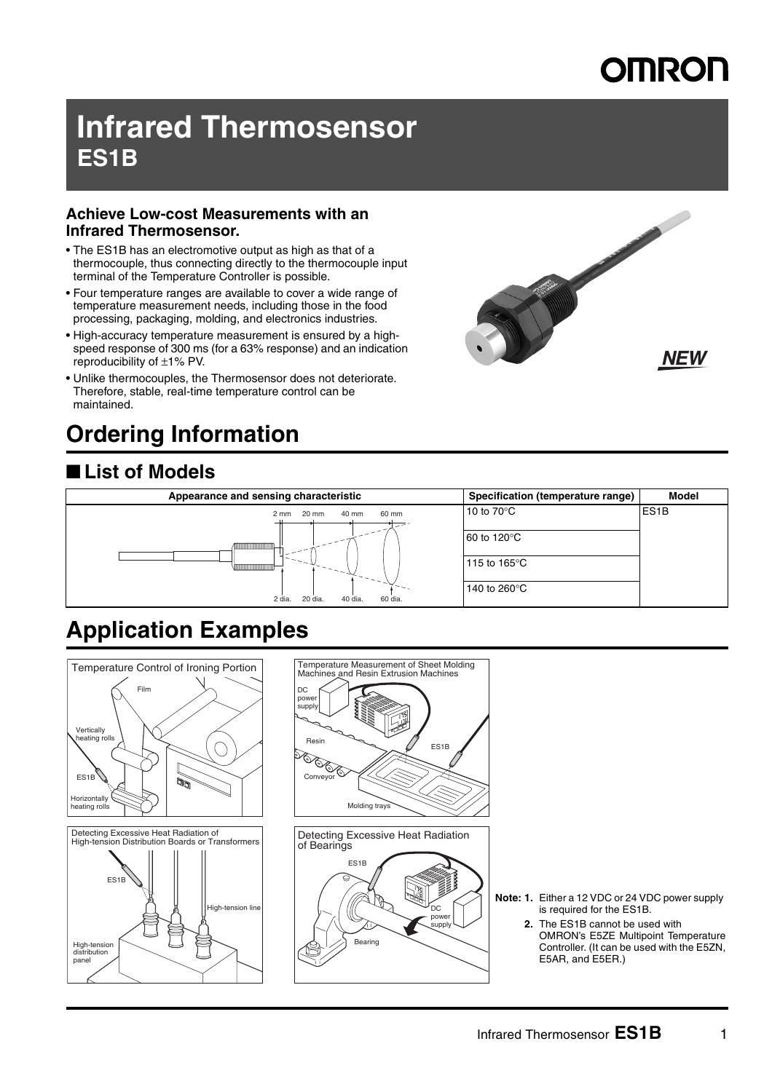# **OMRON**

**NEW** 

## **Infrared Thermosensor ES1B**

### **Achieve Low-cost Measurements with an Infrared Thermosensor.**

- The ES1B has an electromotive output as high as that of a thermocouple, thus connecting directly to the thermocouple input terminal of the Temperature Controller is possible.
- Four temperature ranges are available to cover a wide range of temperature measurement needs, including those in the food processing, packaging, molding, and electronics industries.
- High-accuracy temperature measurement is ensured by a highspeed response of 300 ms (for a 63% response) and an indication reproducibility of ±1% PV.
- Unlike thermocouples, the Thermosensor does not deteriorate. Therefore, stable, real-time temperature control can be maintained.



## ■ **List of Models**



## **Application Examples**

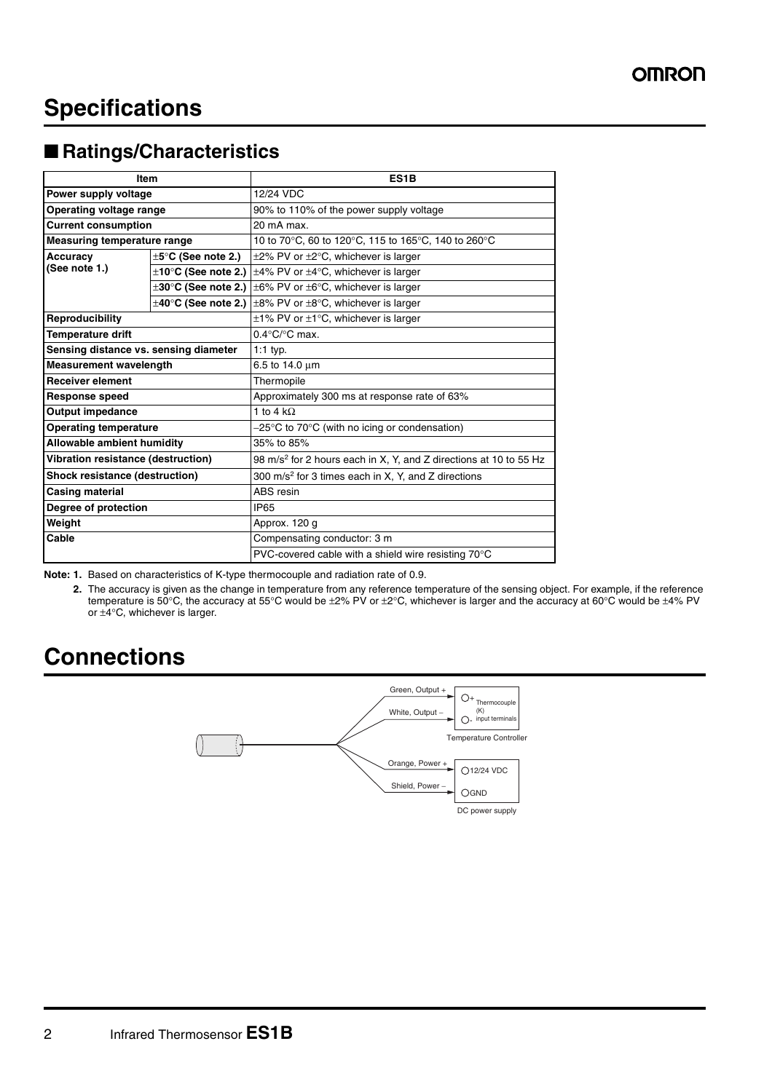## ■ Ratings/Characteristics

| Item                                  |                                  | ES <sub>1</sub> B                                                             |
|---------------------------------------|----------------------------------|-------------------------------------------------------------------------------|
| Power supply voltage                  |                                  | 12/24 VDC                                                                     |
| Operating voltage range               |                                  | 90% to 110% of the power supply voltage                                       |
| <b>Current consumption</b>            |                                  | 20 mA max.                                                                    |
| <b>Measuring temperature range</b>    |                                  | 10 to 70°C, 60 to 120°C, 115 to 165°C, 140 to 260°C                           |
| Accuracy<br>(See note 1.)             | $\pm 5^{\circ}$ C (See note 2.)  | $\pm 2\%$ PV or $\pm 2\degree$ C, whichever is larger                         |
|                                       | $\pm 10^{\circ}$ C (See note 2.) | $\pm 4\%$ PV or $\pm 4\degree$ C, whichever is larger                         |
|                                       | $\pm 30^{\circ}$ C (See note 2.) | $\pm 6\%$ PV or $\pm 6^{\circ}$ C, whichever is larger                        |
|                                       | $\pm 40^\circ$ C (See note 2.)   | $\pm 8\%$ PV or $\pm 8\degree$ C, whichever is larger                         |
| Reproducibility                       |                                  | $\pm$ 1% PV or $\pm$ 1°C, whichever is larger                                 |
| Temperature drift                     |                                  | $0.4^{\circ}$ C/ $^{\circ}$ C max.                                            |
| Sensing distance vs. sensing diameter |                                  | $1:1$ typ.                                                                    |
| <b>Measurement wavelength</b>         |                                  | 6.5 to 14.0 um                                                                |
| <b>Receiver element</b>               |                                  | Thermopile                                                                    |
| <b>Response speed</b>                 |                                  | Approximately 300 ms at response rate of 63%                                  |
| <b>Output impedance</b>               |                                  | 1 to 4 k $\Omega$                                                             |
| <b>Operating temperature</b>          |                                  | $-25^{\circ}$ C to 70 $^{\circ}$ C (with no icing or condensation)            |
| Allowable ambient humidity            |                                  | 35% to 85%                                                                    |
| Vibration resistance (destruction)    |                                  | 98 m/s <sup>2</sup> for 2 hours each in X, Y, and Z directions at 10 to 55 Hz |
| <b>Shock resistance (destruction)</b> |                                  | 300 m/s <sup>2</sup> for 3 times each in X, Y, and Z directions               |
| Casing material                       |                                  | ABS resin                                                                     |
| Degree of protection                  |                                  | <b>IP65</b>                                                                   |
| Weight                                |                                  | Approx. 120 g                                                                 |
| Cable                                 |                                  | Compensating conductor: 3 m                                                   |
|                                       |                                  | PVC-covered cable with a shield wire resisting 70°C                           |

**Note: 1.** Based on characteristics of K-type thermocouple and radiation rate of 0.9.

**2.** The accuracy is given as the change in temperature from any reference temperature of the sensing object. For example, if the reference temperature is 50°C, the accuracy at 55°C would be ±2% PV or ±2°C, whichever is larger and the accuracy at 60°C would be ±4% PV or  $\pm 4^{\circ}$ C, whichever is larger.

## **Connections**

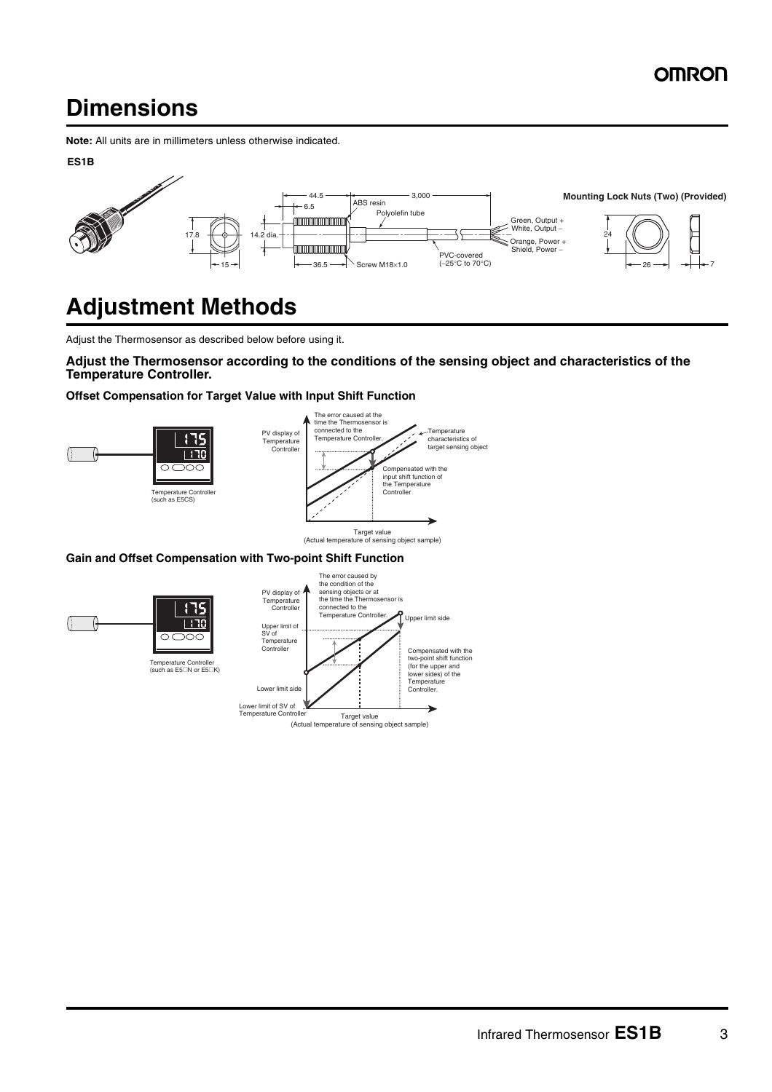## **Dimensions**

**Note:** All units are in millimeters unless otherwise indicated.

**ES1B**



## **Adjustment Methods**

Adjust the Thermosensor as described below before using it.

**Adjust the Thermosensor according to the conditions of the sensing object and characteristics of the Temperature Controller.**

**Offset Compensation for Target Value with Input Shift Function**



### **Gain and Offset Compensation with Two-point Shift Function**

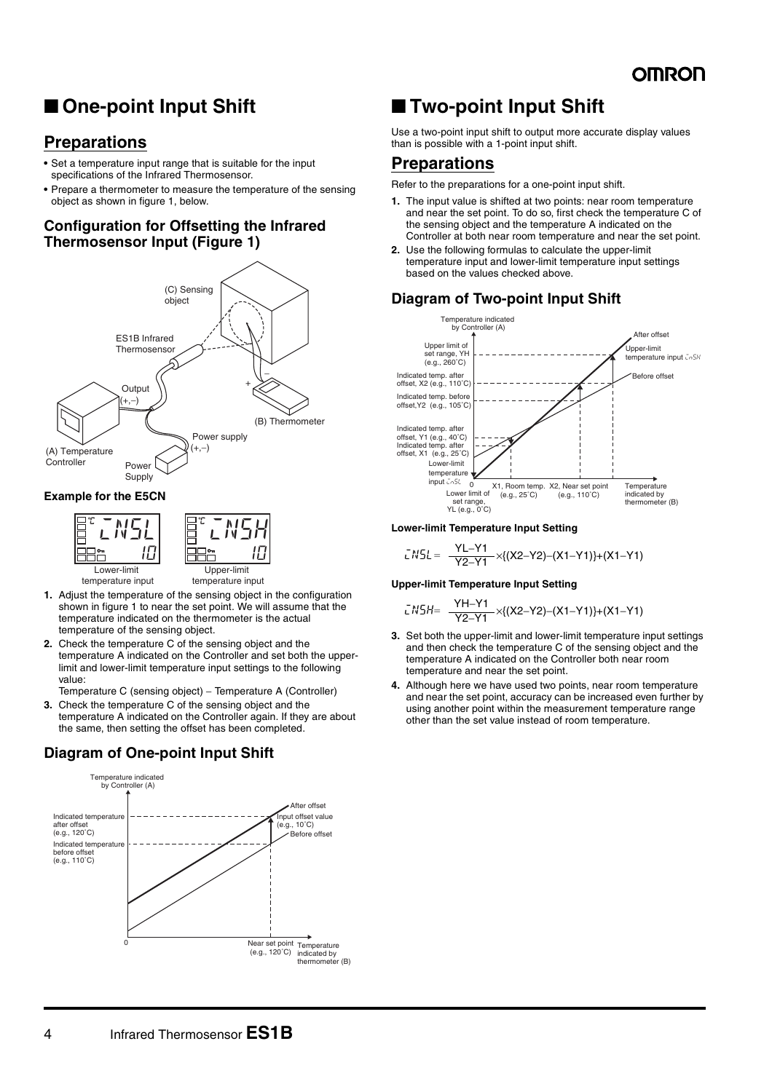## ■ One-point Input Shift

## **Preparations**

- **•** Set a temperature input range that is suitable for the input specifications of the Infrared Thermosensor.
- **•** Prepare a thermometer to measure the temperature of the sensing object as shown in figure 1, below.

### **Configuration for Offsetting the Infrared Thermosensor Input (Figure 1)**



### **Example for the E5CN**



temperature input

temperature input

- **1.** Adjust the temperature of the sensing object in the configuration shown in figure 1 to near the set point. We will assume that the temperature indicated on the thermometer is the actual temperature of the sensing object.
- **2.** Check the temperature C of the sensing object and the temperature A indicated on the Controller and set both the upperlimit and lower-limit temperature input settings to the following value:

Temperature C (sensing object) – Temperature A (Controller)

**3.** Check the temperature C of the sensing object and the temperature A indicated on the Controller again. If they are about the same, then setting the offset has been completed.

### **Diagram of One-point Input Shift**



## ■ **Two-point Input Shift**

Use a two-point input shift to output more accurate display values than is possible with a 1-point input shift.

### **Preparations**

Refer to the preparations for a one-point input shift.

- **1.** The input value is shifted at two points: near room temperature and near the set point. To do so, first check the temperature C of the sensing object and the temperature A indicated on the Controller at both near room temperature and near the set point.
- **2.** Use the following formulas to calculate the upper-limit temperature input and lower-limit temperature input settings based on the values checked above.

## **Diagram of Two-point Input Shift**



#### **Lower-limit Temperature Input Setting**

$$
SNSL = \frac{YL-Y1}{YZ-Y1} \times \{(X2-Y2)-(X1-Y1)\} + (X1-Y1)
$$

**Upper-limit Temperature Input Setting**

$$
LNSH = \frac{YH-Y1}{Y2-Y1} \times \{(X2-Y2)-(X1-Y1)\} + (X1-Y1)
$$

- **3.** Set both the upper-limit and lower-limit temperature input settings and then check the temperature C of the sensing object and the temperature A indicated on the Controller both near room temperature and near the set point.
- **4.** Although here we have used two points, near room temperature and near the set point, accuracy can be increased even further by using another point within the measurement temperature range other than the set value instead of room temperature.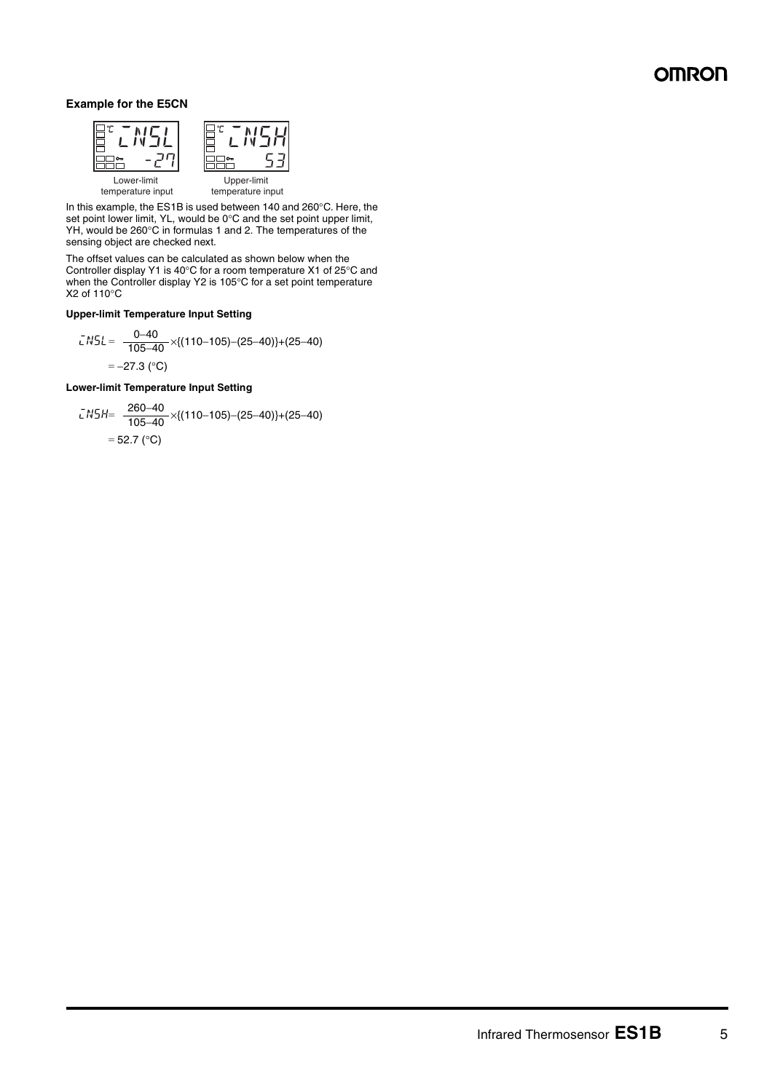## OMRON

### **Example for the E5CN**





temperature input

Upper-limit temperature input

In this example, the ES1B is used between 140 and 260°C. Here, the set point lower limit, YL, would be  $0^{\circ}$ C and the set point upper limit, YH, would be 260°C in formulas 1 and 2. The temperatures of the sensing object are checked next.

The offset values can be calculated as shown below when the Controller display Y1 is 40°C for a room temperature X1 of 25°C and when the Controller display Y2 is 105°C for a set point temperature X2 of 110°C

#### **Upper-limit Temperature Input Setting**

$$
\bar{L}N5L = \frac{0-40}{105-40} \times \{(110-105)-(25-40)\} + (25-40)
$$
  
= -27.3 (°C)

#### **Lower-limit Temperature Input Setting**

$$
LMSH = \frac{260-40}{105-40} \times \{(110-105)-(25-40)\} + (25-40)
$$
  
= 52.7 (°C)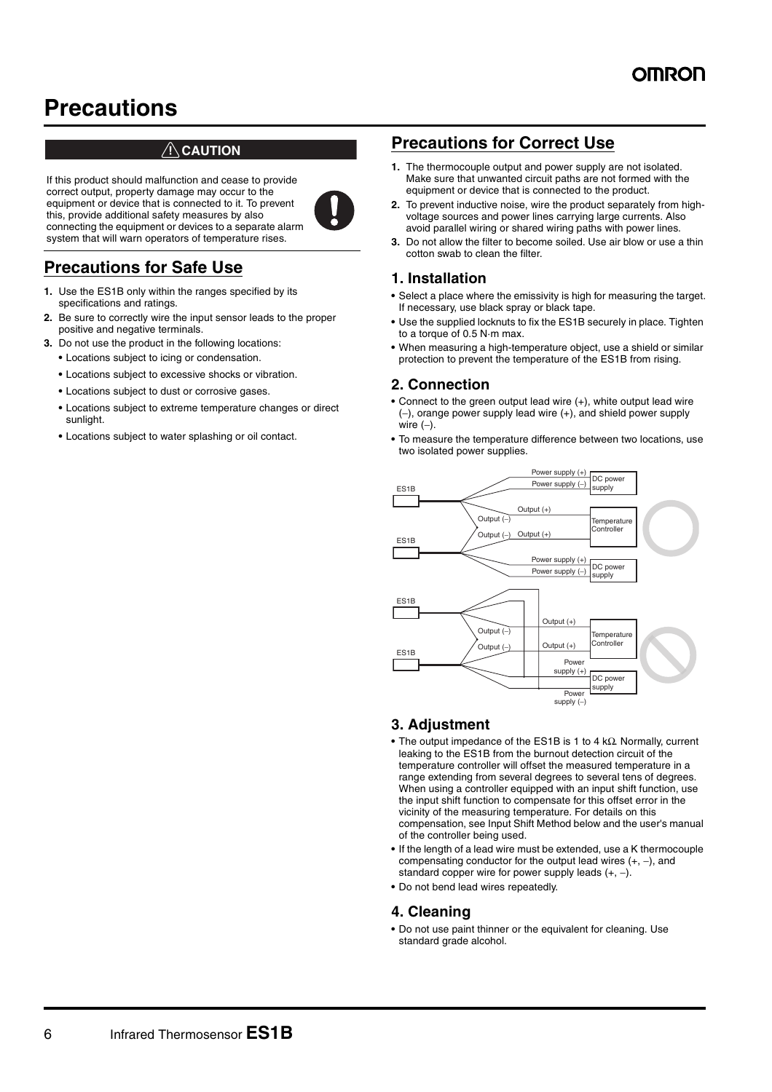## **Precautions**

### $\land$  CAUTION

If this product should malfunction and cease to provide correct output, property damage may occur to the equipment or device that is connected to it. To prevent this, provide additional safety measures by also connecting the equipment or devices to a separate alarm system that will warn operators of temperature rises.



## **Precautions for Safe Use**

- **1.** Use the ES1B only within the ranges specified by its specifications and ratings.
- **2.** Be sure to correctly wire the input sensor leads to the proper positive and negative terminals.
- **3.** Do not use the product in the following locations:
	- **•** Locations subject to icing or condensation.
	- **•** Locations subject to excessive shocks or vibration.
	- **•** Locations subject to dust or corrosive gases.
	- **•** Locations subject to extreme temperature changes or direct sunlight.
	- **•** Locations subject to water splashing or oil contact.

## **Precautions for Correct Use**

- **1.** The thermocouple output and power supply are not isolated. Make sure that unwanted circuit paths are not formed with the equipment or device that is connected to the product.
- **2.** To prevent inductive noise, wire the product separately from highvoltage sources and power lines carrying large currents. Also avoid parallel wiring or shared wiring paths with power lines.
- **3.** Do not allow the filter to become soiled. Use air blow or use a thin cotton swab to clean the filter.

### **1. Installation**

- **•** Select a place where the emissivity is high for measuring the target. If necessary, use black spray or black tape.
- **•** Use the supplied locknuts to fix the ES1B securely in place. Tighten to a torque of 0.5 N·m max.
- **•** When measuring a high-temperature object, use a shield or similar protection to prevent the temperature of the ES1B from rising.

### **2. Connection**

- **•** Connect to the green output lead wire (+), white output lead wire (−), orange power supply lead wire (+), and shield power supply wire (–).
- **•** To measure the temperature difference between two locations, use two isolated power supplies.



### **3. Adjustment**

- **•** The output impedance of the ES1B is 1 to 4 kΩ. Normally, current leaking to the ES1B from the burnout detection circuit of the temperature controller will offset the measured temperature in a range extending from several degrees to several tens of degrees. When using a controller equipped with an input shift function, use the input shift function to compensate for this offset error in the vicinity of the measuring temperature. For details on this compensation, see Input Shift Method below and the user's manual of the controller being used.
- **•** If the length of a lead wire must be extended, use a K thermocouple compensating conductor for the output lead wires (+, −), and standard copper wire for power supply leads (+, −).
- **•** Do not bend lead wires repeatedly.

### **4. Cleaning**

**•** Do not use paint thinner or the equivalent for cleaning. Use standard grade alcohol.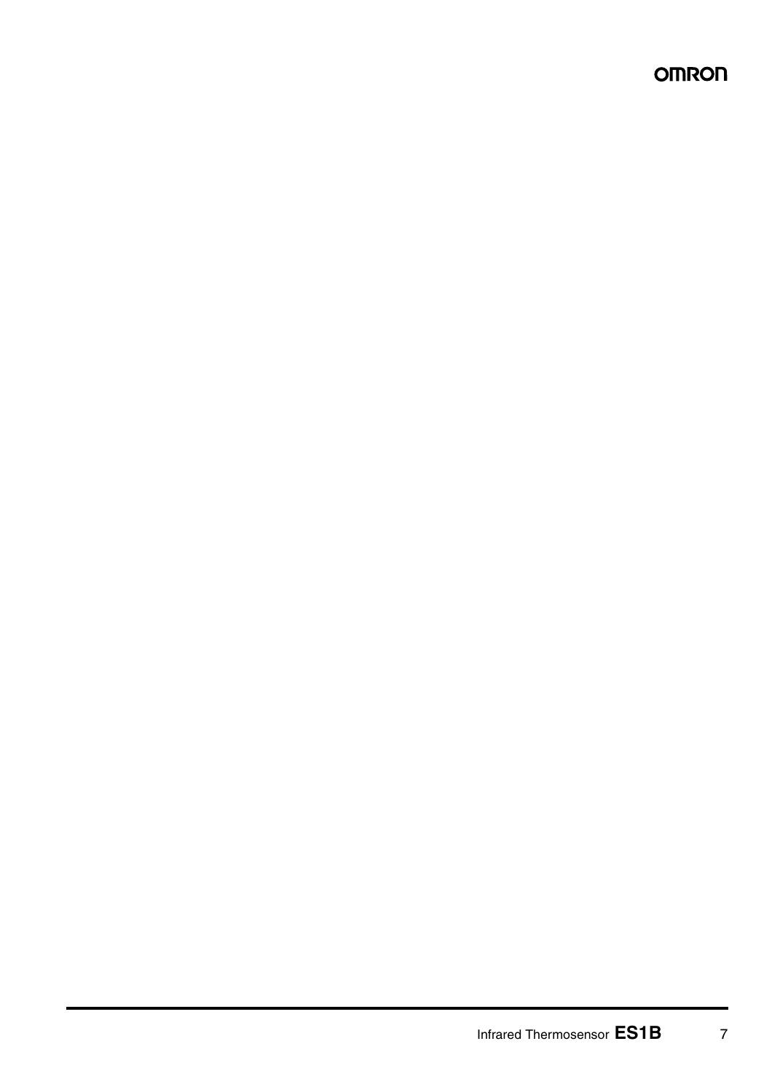## **OMRON**